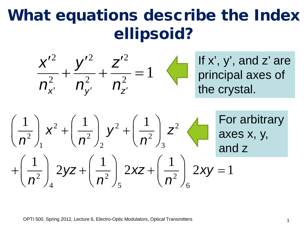# What equations describe the Index ellipsoid?



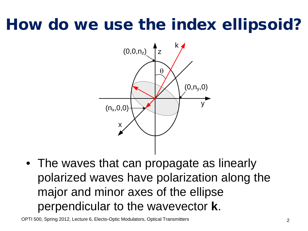# How do we use the index ellipsoid?



• The waves that can propagate as linearly polarized waves have polarization along the major and minor axes of the ellipse perpendicular to the wavevector **k**.

OPTI 500, Spring 2012, Lecture 6, Electo-Optic Modulators, Optical Transmitters 2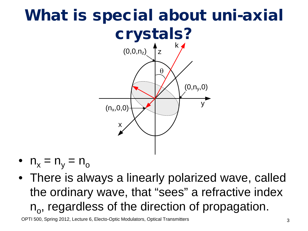#### What is special about uni-axial crystals? x y  $\mathbf{r}$ <sub>Z</sub> k  $(0, n_y, 0)$  $(0,0,n_z)$  $(n_x, 0, 0)$ θ

- $n_x = n_y = n_o$
- There is always a linearly polarized wave, called the ordinary wave, that "sees" a refractive index  $n_{o}$ , regardless of the direction of propagation.

OPTI 500, Spring 2012, Lecture 6, Electo-Optic Modulators, Optical Transmitters 3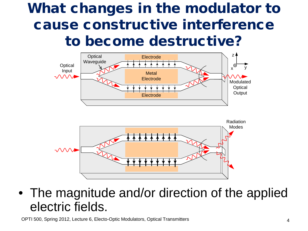#### What changes in the modulator to cause constructive interference to become destructive?





• The magnitude and/or direction of the applied electric fields.

OPTI 500, Spring 2012, Lecture 6, Electo-Optic Modulators, Optical Transmitters 4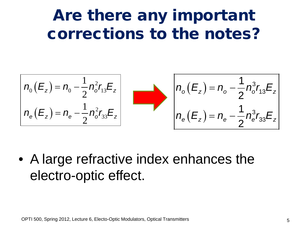## Are there any important corrections to the notes?

$$
n_{e}(E_z) = n_{e} - \frac{1}{2} n_{o}^{2} r_{13} E_z
$$
\n
$$
n_{e}(E_z) = n_{e} - \frac{1}{2} n_{o}^{2} r_{33} E_z
$$
\n
$$
n_{e}(E_z) = n_{e} - \frac{1}{2} n_{o}^{3} r_{13} E_z
$$
\n
$$
n_{e}(E_z) = n_{e} - \frac{1}{2} n_{e}^{3} r_{33} E_z
$$

• A large refractive index enhances the electro-optic effect.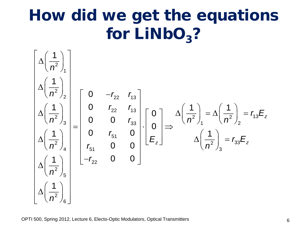# How did we get the equations for  $LiNbO<sub>3</sub>$ ?

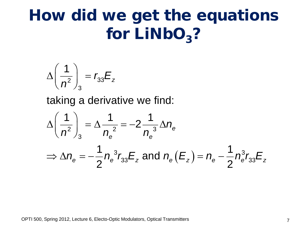# How did we get the equations for  $LiNbO<sub>3</sub>$ ?

$$
\Delta \left(\frac{1}{n^2}\right)_3 = r_{33}E_z
$$

taking a derivative we find:

$$
\Delta \left(\frac{1}{n^2}\right)_3 = \Delta \frac{1}{n_e^2} = -2 \frac{1}{n_e^3} \Delta n_e
$$
  
\n
$$
\Rightarrow \Delta n_e = -\frac{1}{2} n_e^3 r_{33} E_z \text{ and } n_e (E_z) = n_e - \frac{1}{2} n_e^3 r_{33} E_z
$$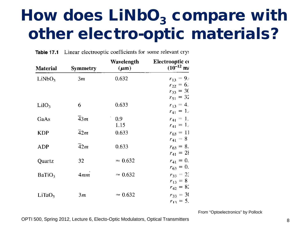# How does  $LiNbO<sub>3</sub>$  compare with other electro-optic materials?

| Material           | <b>Symmetry</b>  | Wavelength<br>$(\mu m)$  | Electrooptic co<br>$(10^{-12} \text{ m})$        |
|--------------------|------------------|--------------------------|--------------------------------------------------|
| LiNbO <sub>3</sub> | 3m               | 0.632                    | $r_{13} = 9.0$<br>$r_{22} = 6.$<br>$r_{33} = 30$ |
| LiIO <sub>3</sub>  | 6                | 0.633                    | $r_{51} = 32$<br>$r_{13} = 4.$<br>$r_{41} = 1.$  |
| GaAs               | $\overline{4}3m$ | 0.9 <sub>o</sub><br>1.15 | $r_{41} = 1.$<br>$r_{41} = 1.$                   |
| <b>KDP</b>         | $\overline{4}2m$ | 0.633                    | $r_{63} = 11$<br>$r_{41} = 8$                    |
| <b>ADP</b>         | $\overline{4}2m$ | 0.633                    | $r_{63} = 8.$<br>$r_{41} = 28$                   |
| Quartz             | 32               | $\approx 0.632$          | $r_{41} = 0.$<br>$r_{63} = 0.$                   |
| BaTiO <sub>3</sub> | 4mm              | $\approx 0.632$          | $r_{33} = 22$<br>$r_{13} = 8$                    |
| LiTaO <sub>3</sub> | 3m               | $\approx 0.632$          | $r_{42} = 82$<br>$r_{33} = 30$<br>$r_{13} = 5.$  |

Table 17.1 Linear electrooptic coefficients for some relevant crys

From "Optoelectronics" by Pollock